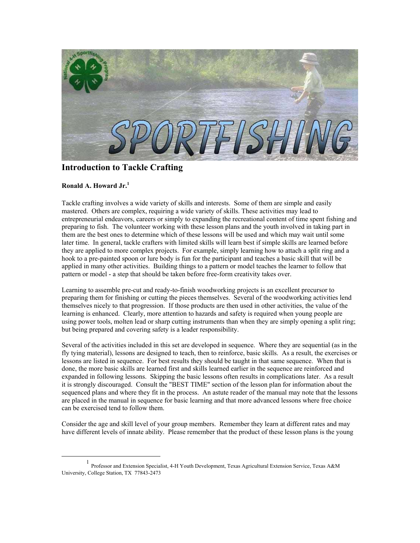

## **Introduction to Tackle Crafting**

## **Ronald A. Howard Jr. [1](#page-0-0)**

Tackle crafting involves a wide variety of skills and interests. Some of them are simple and easily mastered. Others are complex, requiring a wide variety of skills. These activities may lead to entrepreneurial endeavors, careers or simply to expanding the recreational content of time spent fishing and preparing to fish. The volunteer working with these lesson plans and the youth involved in taking part in them are the best ones to determine which of these lessons will be used and which may wait until some later time. In general, tackle crafters with limited skills will learn best if simple skills are learned before they are applied to more complex projects. For example, simply learning how to attach a split ring and a hook to a pre-painted spoon or lure body is fun for the participant and teaches a basic skill that will be applied in many other activities. Building things to a pattern or model teaches the learner to follow that pattern or model - a step that should be taken before free-form creativity takes over.

Learning to assemble pre-cut and ready-to-finish woodworking projects is an excellent precursor to preparing them for finishing or cutting the pieces themselves. Several of the woodworking activities lend themselves nicely to that progression. If those products are then used in other activities, the value of the learning is enhanced. Clearly, more attention to hazards and safety is required when young people are using power tools, molten lead or sharp cutting instruments than when they are simply opening a split ring; but being prepared and covering safety is a leader responsibility.

Several of the activities included in this set are developed in sequence. Where they are sequential (as in the fly tying material), lessons are designed to teach, then to reinforce, basic skills. As a result, the exercises or lessons are listed in sequence. For best results they should be taught in that same sequence. When that is done, the more basic skills are learned first and skills learned earlier in the sequence are reinforced and expanded in following lessons. Skipping the basic lessons often results in complications later. As a result it is strongly discouraged. Consult the "BEST TIME" section of the lesson plan for information about the sequenced plans and where they fit in the process. An astute reader of the manual may note that the lessons are placed in the manual in sequence for basic learning and that more advanced lessons where free choice can be exercised tend to follow them.

Consider the age and skill level of your group members. Remember they learn at different rates and may have different levels of innate ability. Please remember that the product of these lesson plans is the young

<span id="page-0-0"></span><sup>&</sup>lt;u>1</u> Professor and Extension Specialist, 4-H Youth Development, Texas Agricultural Extension Service, Texas A&M University, College Station, TX 77843-2473